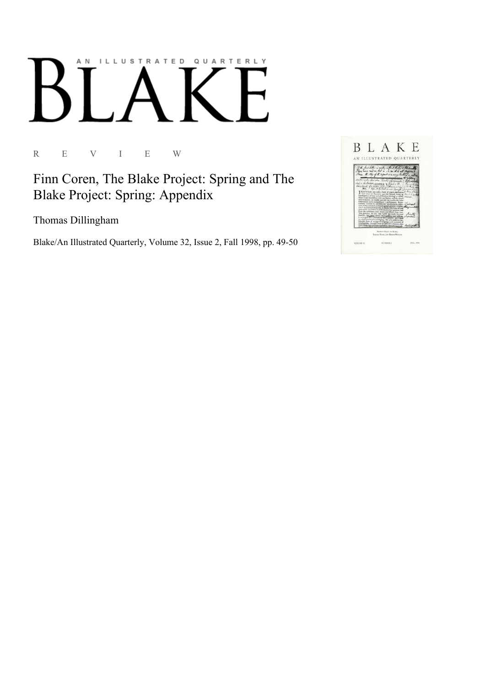## AN ILLUSTRATED QUARTERLY

R E V I E W

Finn Coren, The Blake Project: Spring and The Blake Project: Spring: Appendix

Thomas Dillingham

Blake/An Illustrated Quarterly, Volume 32, Issue 2, Fall 1998, pp. 49-50

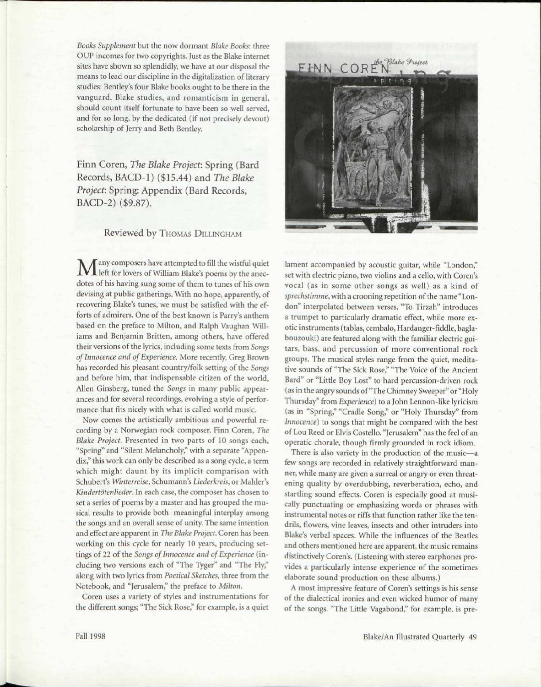*Books Supplement* but the now dormant *Blake Books:* three OUP incomes for two copyrights. Just as the Blake internet sites have shown so splendidly, we have at our disposal the means to lead our discipline in the digitalization of literary studies: Bentley's four Blake books ought to be there in the vanguard. Blake studies, and romanticism in general, should count itself fortunate to have been so well served, and for so long, by the dedicated (if not precisely devout) scholarship of Jerry and Beth Bentley.

Finn Coren, *The Blake Project:* Spring (Bard Records, BACD-1) (\$15.44) and *The Blake Project:* Spring: Appendix (Bard Records, BACD-2) (\$9.87).

## Reviewed by THOMAS DILLINGHAM

 $\mathbf M$ left for lovers of William Blake's poems by the anecdotes of his having sung some of them to tunes of his own devising at public gatherings. With no hope, apparently, of recovering Blake's tunes, we must be satisfied with the efforts of admirers. One of the best known is Parry's anthem based on the preface to Milton, and Ralph Vaughan Williams and Benjamin Britten, among others, have offered their versions of the lyrics, including some texts from *Songs of Innocence and of Experience.* More recently, Greg Brown has recorded his pleasant country/folk setting of the *Songs*  and before him, that indispensable citizen of the world, Allen Ginsberg, tuned the *Songs* in many public appearances and for several recordings, evolving a style of performance that fits nicely with what is called world music.

Now comes the artistically ambitious and powerful recording by a Norwegian rock composer, Finn Coren, *The Blake Project.* Presented in two parts of 10 songs each, "Spring" and "Silent Melancholy," with a separate "Appendix," this work can only be described as a song cycle, a term which might daunt by its implicit comparison with Schubert's *Winterreise,* Schumann's *Liederkreis,* or Mahler's Kindertötenlieder. In each case, the composer has chosen to set a series of poems by a master and has grouped the musical results to provide both meaningful interplay among the songs and an overall sense of unity. The same intention and effect are apparent in *The Blake Project.* Coren has been working on this cycle for nearly 10 years, producing settings of 22 of the *Songs of Innocence and of Experience* (including two versions each of "The Tyger" and "The Fly," along with two lyrics from *Poetical Sketches,* three from the Notebook, and "Jerusalem," the preface to *Milton.* 

Coren uses a variety of styles and instrumentations for the different songs; "The Sick Rose," for example, is a quiet



lament accompanied by acoustic guitar, while "London," set with electric piano, two violins and a cello, with Coren's vocal (as in some other songs as well) as a kind of *sprechstimme,* with a crooning repetition of the name "London" interpolated between verses. "To Tirzah" introduces a trumpet to particularly dramatic effect, while more exotic instruments (tablas, cembalo, Hardanger-fiddle, baglabouzouki) are featured along with the familiar electric guitars, bass, and percussion of more conventional rock groups. The musical styles range from the quiet, meditative sounds of "The Sick Rose," "The Voice of the Ancient Bard" or "Little Boy Lost" to hard percussion-driven rock (as in the angry sounds of "The Chimney Sweeper" or "Holy Thursday" from *Experience)* to a John Lennon-like lyricism (as in "Spring," "Cradle Song," or "Holy Thursday" from *Innocence)* to songs that might be compared with the best of Lou Reed or Elvis Costello. "Jerusalem" has the feel of an operatic chorale, though firmly grounded in rock idiom.

There is also variety in the production of the music—a few songs are recorded in relatively straightforward manner, while many are given a surreal or angry or even threatening quality by overdubbing, reverberation, echo, and startling sound effects. Coren is especially good at musically punctuating or emphasizing words or phrases with instrumental notes or riffs that function rather like the tendrils, flowers, vine leaves, insects and other intruders into Blake's verbal spaces. While the influences of the Beatles and others mentioned here are apparent, the music remains distinctively Coren's. (Listening with stereo earphones provides a particularly intense experience of the sometimes elaborate sound production on these albums.)

A most impressive feature of Coren's settings is his sense of the dialectical ironies and even wicked humor of many of the songs. "The Little Vagabond," for example, is pre-